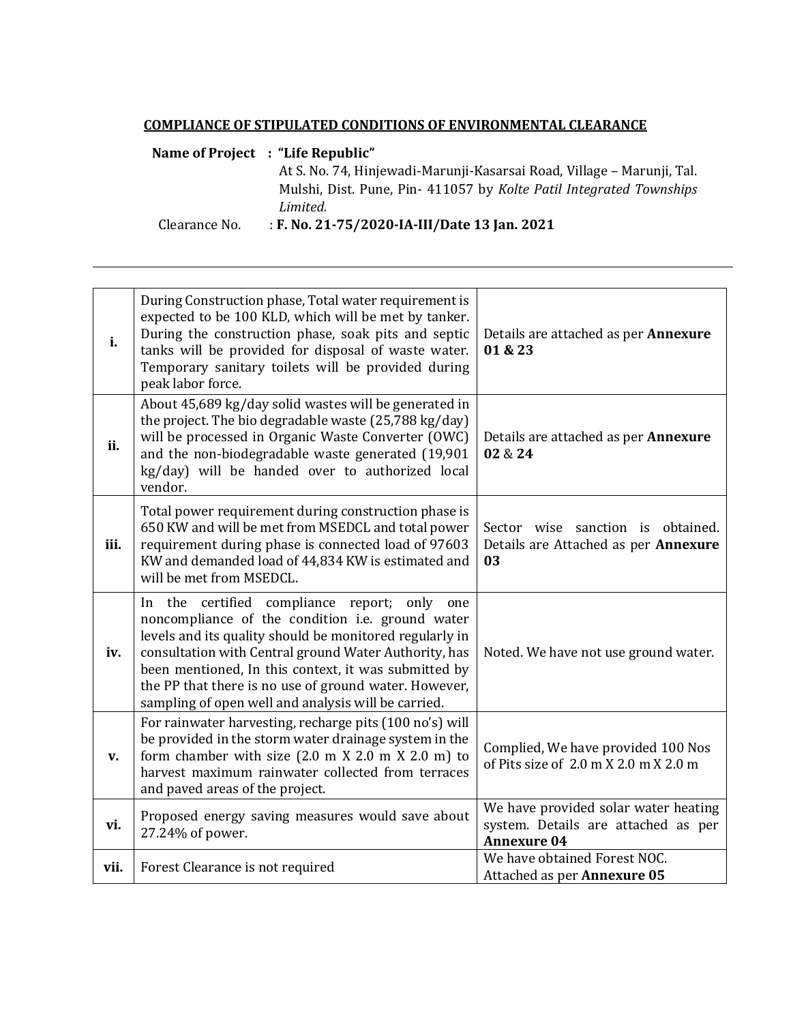## **COMPLIANCE OF STIPULATED CONDITIONS OF ENVIRONMENTAL CLEARANCE**

## **Name of Project : "Life Republic"**

At S. No. 74, Hinjewadi-Marunji-Kasarsai Road, Village – Marunji, Tal. Mulshi, Dist. Pune, Pin- 411057 by *Kolte Patil Integrated Townships Limited.*

Clearance No. : **F. No. 21-75/2020-IA-III/Date 13 Jan. 2021**

| i.   | During Construction phase, Total water requirement is<br>expected to be 100 KLD, which will be met by tanker.<br>During the construction phase, soak pits and septic<br>tanks will be provided for disposal of waste water.<br>Temporary sanitary toilets will be provided during<br>peak labor force.                                                                                             | Details are attached as per <b>Annexure</b><br>01 & 23                                            |
|------|----------------------------------------------------------------------------------------------------------------------------------------------------------------------------------------------------------------------------------------------------------------------------------------------------------------------------------------------------------------------------------------------------|---------------------------------------------------------------------------------------------------|
| ii.  | About 45,689 kg/day solid wastes will be generated in<br>the project. The bio degradable waste (25,788 kg/day)<br>will be processed in Organic Waste Converter (OWC)<br>and the non-biodegradable waste generated (19,901<br>kg/day) will be handed over to authorized local<br>vendor.                                                                                                            | Details are attached as per Annexure<br>02 & 24                                                   |
| iii. | Total power requirement during construction phase is<br>650 KW and will be met from MSEDCL and total power<br>requirement during phase is connected load of 97603<br>KW and demanded load of 44,834 KW is estimated and<br>will be met from MSEDCL.                                                                                                                                                | Sector wise sanction is obtained.<br>Details are Attached as per Annexure<br>03                   |
| iv.  | the certified compliance report; only<br>In<br>one<br>noncompliance of the condition i.e. ground water<br>levels and its quality should be monitored regularly in<br>consultation with Central ground Water Authority, has<br>been mentioned, In this context, it was submitted by<br>the PP that there is no use of ground water. However,<br>sampling of open well and analysis will be carried. | Noted. We have not use ground water.                                                              |
| V.   | For rainwater harvesting, recharge pits (100 no's) will<br>be provided in the storm water drainage system in the<br>form chamber with size (2.0 m X 2.0 m X 2.0 m) to<br>harvest maximum rainwater collected from terraces<br>and paved areas of the project.                                                                                                                                      | Complied, We have provided 100 Nos<br>of Pits size of 2.0 m X 2.0 m X 2.0 m                       |
| vi.  | Proposed energy saving measures would save about<br>27.24% of power.                                                                                                                                                                                                                                                                                                                               | We have provided solar water heating<br>system. Details are attached as per<br><b>Annexure 04</b> |
| vii. | Forest Clearance is not required                                                                                                                                                                                                                                                                                                                                                                   | We have obtained Forest NOC.<br>Attached as per Annexure 05                                       |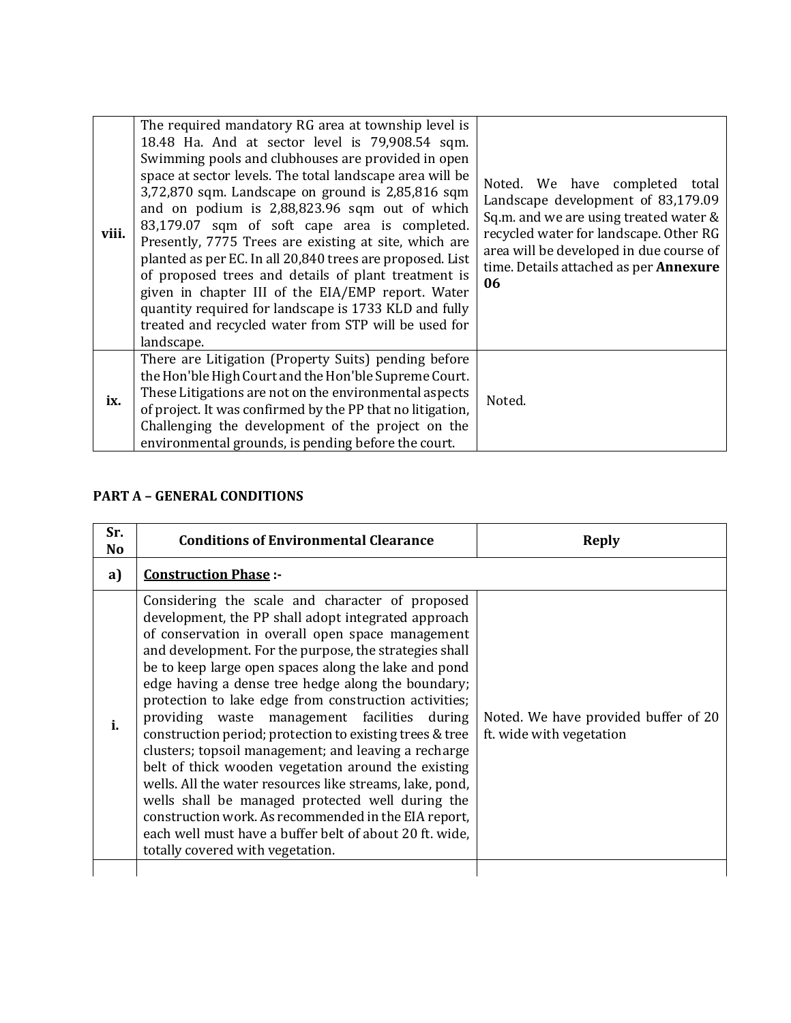| viii. | The required mandatory RG area at township level is<br>18.48 Ha. And at sector level is 79,908.54 sqm.<br>Swimming pools and clubhouses are provided in open<br>space at sector levels. The total landscape area will be<br>$3,72,870$ sqm. Landscape on ground is $2,85,816$ sqm<br>and on podium is 2,88,823.96 sqm out of which<br>83,179.07 sqm of soft cape area is completed.<br>Presently, 7775 Trees are existing at site, which are<br>planted as per EC. In all 20,840 trees are proposed. List<br>of proposed trees and details of plant treatment is<br>given in chapter III of the EIA/EMP report. Water<br>quantity required for landscape is 1733 KLD and fully<br>treated and recycled water from STP will be used for<br>landscape. | Noted. We have completed<br>total<br>Landscape development of 83,179.09<br>Sq.m. and we are using treated water &<br>recycled water for landscape. Other RG<br>area will be developed in due course of<br>time. Details attached as per Annexure<br>06 |
|-------|------------------------------------------------------------------------------------------------------------------------------------------------------------------------------------------------------------------------------------------------------------------------------------------------------------------------------------------------------------------------------------------------------------------------------------------------------------------------------------------------------------------------------------------------------------------------------------------------------------------------------------------------------------------------------------------------------------------------------------------------------|--------------------------------------------------------------------------------------------------------------------------------------------------------------------------------------------------------------------------------------------------------|
| ix.   | There are Litigation (Property Suits) pending before<br>the Hon'ble High Court and the Hon'ble Supreme Court.<br>These Litigations are not on the environmental aspects<br>of project. It was confirmed by the PP that no litigation,<br>Challenging the development of the project on the<br>environmental grounds, is pending before the court.                                                                                                                                                                                                                                                                                                                                                                                                    | Noted.                                                                                                                                                                                                                                                 |

## **PART A – GENERAL CONDITIONS**

| Sr.<br>N <sub>0</sub> | <b>Conditions of Environmental Clearance</b>                                                                                                                                                                                                                                                                                                                                                                                                                                                                                                                                                                                                                                                                                                                                                                                                                                                  | <b>Reply</b>                                                     |
|-----------------------|-----------------------------------------------------------------------------------------------------------------------------------------------------------------------------------------------------------------------------------------------------------------------------------------------------------------------------------------------------------------------------------------------------------------------------------------------------------------------------------------------------------------------------------------------------------------------------------------------------------------------------------------------------------------------------------------------------------------------------------------------------------------------------------------------------------------------------------------------------------------------------------------------|------------------------------------------------------------------|
| a)                    | <b>Construction Phase:-</b>                                                                                                                                                                                                                                                                                                                                                                                                                                                                                                                                                                                                                                                                                                                                                                                                                                                                   |                                                                  |
| i.                    | Considering the scale and character of proposed<br>development, the PP shall adopt integrated approach<br>of conservation in overall open space management<br>and development. For the purpose, the strategies shall<br>be to keep large open spaces along the lake and pond<br>edge having a dense tree hedge along the boundary;<br>protection to lake edge from construction activities;<br>providing waste management facilities during<br>construction period; protection to existing trees & tree<br>clusters; topsoil management; and leaving a recharge<br>belt of thick wooden vegetation around the existing<br>wells. All the water resources like streams, lake, pond,<br>wells shall be managed protected well during the<br>construction work. As recommended in the EIA report,<br>each well must have a buffer belt of about 20 ft. wide,<br>totally covered with vegetation. | Noted. We have provided buffer of 20<br>ft. wide with vegetation |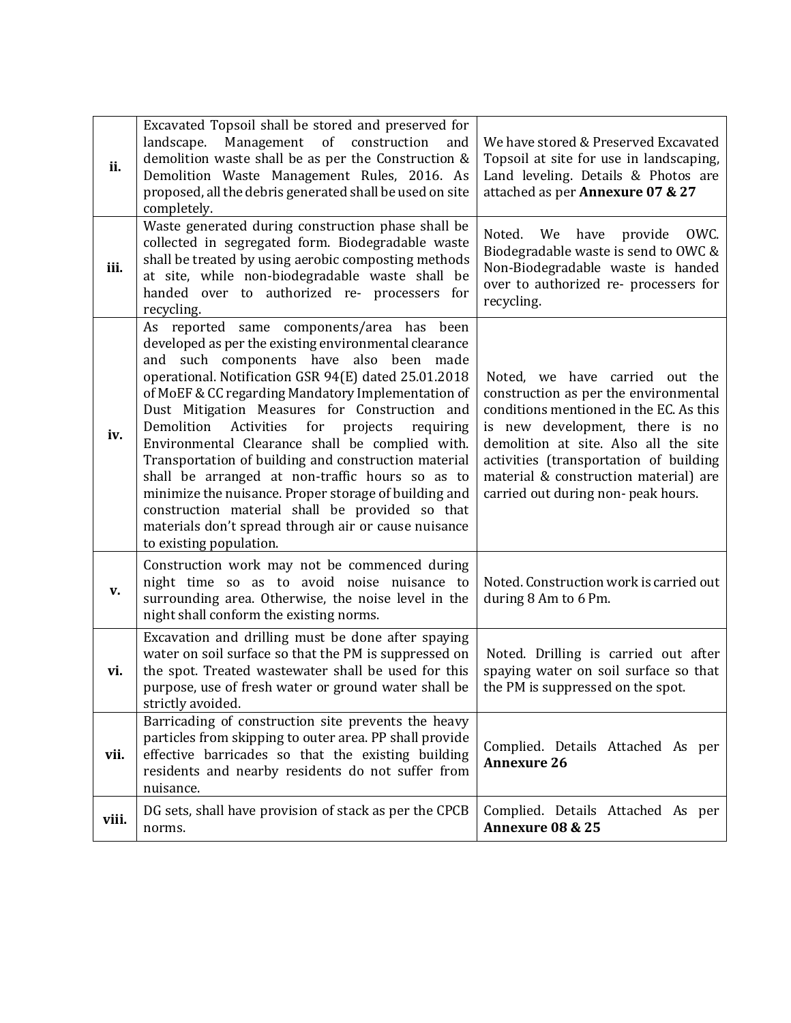| ii.   | Excavated Topsoil shall be stored and preserved for<br>Management of construction<br>landscape.<br>and<br>demolition waste shall be as per the Construction &<br>Demolition Waste Management Rules, 2016. As<br>proposed, all the debris generated shall be used on site<br>completely.                                                                                                                                                                                                                                                                                                                                                                                                                                               | We have stored & Preserved Excavated<br>Topsoil at site for use in landscaping,<br>Land leveling. Details & Photos are<br>attached as per Annexure 07 & 27                                                                                                                                                              |
|-------|---------------------------------------------------------------------------------------------------------------------------------------------------------------------------------------------------------------------------------------------------------------------------------------------------------------------------------------------------------------------------------------------------------------------------------------------------------------------------------------------------------------------------------------------------------------------------------------------------------------------------------------------------------------------------------------------------------------------------------------|-------------------------------------------------------------------------------------------------------------------------------------------------------------------------------------------------------------------------------------------------------------------------------------------------------------------------|
| iii.  | Waste generated during construction phase shall be<br>collected in segregated form. Biodegradable waste<br>shall be treated by using aerobic composting methods<br>at site, while non-biodegradable waste shall be<br>handed over to authorized re- processers for<br>recycling.                                                                                                                                                                                                                                                                                                                                                                                                                                                      | Noted.<br>We have provide<br>OWC.<br>Biodegradable waste is send to OWC &<br>Non-Biodegradable waste is handed<br>over to authorized re- processers for<br>recycling.                                                                                                                                                   |
| iv.   | As reported same components/area has been<br>developed as per the existing environmental clearance<br>and such components have also been made<br>operational. Notification GSR 94(E) dated 25.01.2018<br>of MoEF & CC regarding Mandatory Implementation of<br>Dust Mitigation Measures for Construction and<br>Demolition<br>Activities<br>for<br>projects<br>requiring<br>Environmental Clearance shall be complied with.<br>Transportation of building and construction material<br>shall be arranged at non-traffic hours so as to<br>minimize the nuisance. Proper storage of building and<br>construction material shall be provided so that<br>materials don't spread through air or cause nuisance<br>to existing population. | Noted, we have carried out the<br>construction as per the environmental<br>conditions mentioned in the EC. As this<br>is new development, there is no<br>demolition at site. Also all the site<br>activities (transportation of building<br>material & construction material) are<br>carried out during non-peak hours. |
| V.    | Construction work may not be commenced during<br>night time so as to avoid noise nuisance to<br>surrounding area. Otherwise, the noise level in the<br>night shall conform the existing norms.                                                                                                                                                                                                                                                                                                                                                                                                                                                                                                                                        | Noted. Construction work is carried out<br>during 8 Am to 6 Pm.                                                                                                                                                                                                                                                         |
| vi.   | Excavation and drilling must be done after spaying<br>water on soil surface so that the PM is suppressed on<br>the spot. Treated wastewater shall be used for this<br>purpose, use of fresh water or ground water shall be<br>strictly avoided.                                                                                                                                                                                                                                                                                                                                                                                                                                                                                       | Noted. Drilling is carried out after<br>spaying water on soil surface so that<br>the PM is suppressed on the spot.                                                                                                                                                                                                      |
| vii.  | Barricading of construction site prevents the heavy<br>particles from skipping to outer area. PP shall provide<br>effective barricades so that the existing building<br>residents and nearby residents do not suffer from<br>nuisance.                                                                                                                                                                                                                                                                                                                                                                                                                                                                                                | Complied. Details Attached As per<br><b>Annexure 26</b>                                                                                                                                                                                                                                                                 |
| viii. | DG sets, shall have provision of stack as per the CPCB<br>norms.                                                                                                                                                                                                                                                                                                                                                                                                                                                                                                                                                                                                                                                                      | Complied. Details Attached As per<br>Annexure 08 & 25                                                                                                                                                                                                                                                                   |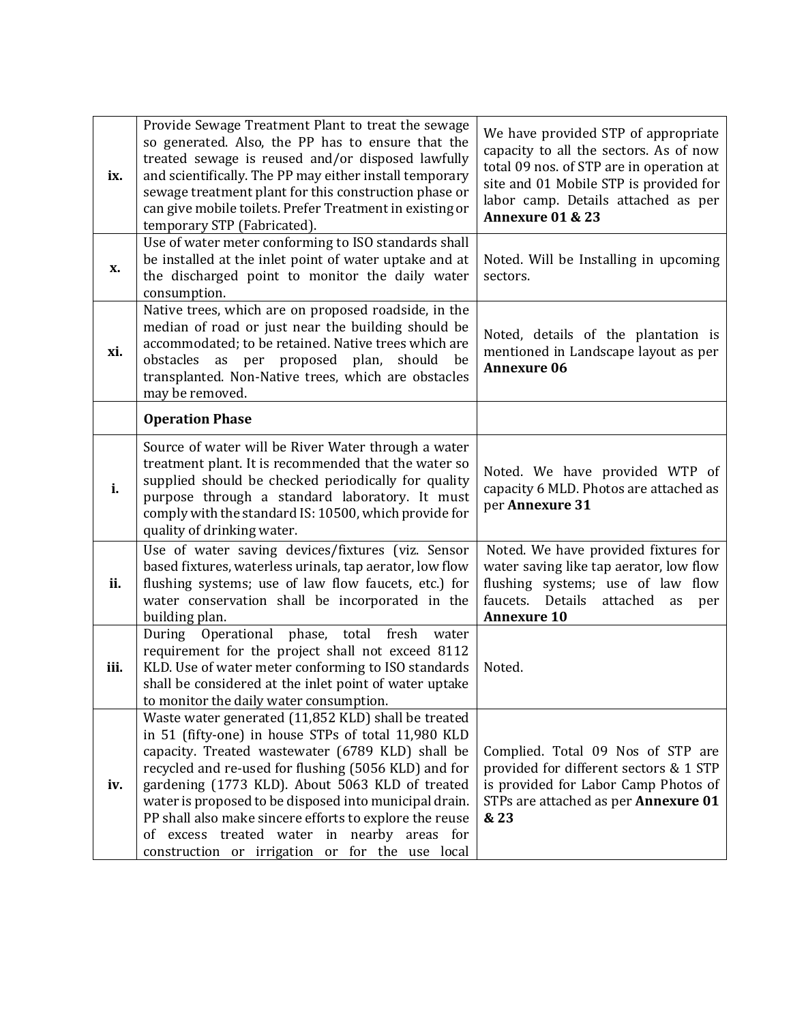| ix.  | Provide Sewage Treatment Plant to treat the sewage<br>so generated. Also, the PP has to ensure that the<br>treated sewage is reused and/or disposed lawfully<br>and scientifically. The PP may either install temporary<br>sewage treatment plant for this construction phase or<br>can give mobile toilets. Prefer Treatment in existing or<br>temporary STP (Fabricated).                                                                                                                      | We have provided STP of appropriate<br>capacity to all the sectors. As of now<br>total 09 nos. of STP are in operation at<br>site and 01 Mobile STP is provided for<br>labor camp. Details attached as per<br>Annexure 01 & 23 |
|------|--------------------------------------------------------------------------------------------------------------------------------------------------------------------------------------------------------------------------------------------------------------------------------------------------------------------------------------------------------------------------------------------------------------------------------------------------------------------------------------------------|--------------------------------------------------------------------------------------------------------------------------------------------------------------------------------------------------------------------------------|
| X.   | Use of water meter conforming to ISO standards shall<br>be installed at the inlet point of water uptake and at<br>the discharged point to monitor the daily water<br>consumption.                                                                                                                                                                                                                                                                                                                | Noted. Will be Installing in upcoming<br>sectors.                                                                                                                                                                              |
| xi.  | Native trees, which are on proposed roadside, in the<br>median of road or just near the building should be<br>accommodated; to be retained. Native trees which are<br>as per proposed plan,<br>obstacles<br>should<br>be<br>transplanted. Non-Native trees, which are obstacles<br>may be removed.                                                                                                                                                                                               | Noted, details of the plantation is<br>mentioned in Landscape layout as per<br><b>Annexure 06</b>                                                                                                                              |
|      | <b>Operation Phase</b>                                                                                                                                                                                                                                                                                                                                                                                                                                                                           |                                                                                                                                                                                                                                |
| i.   | Source of water will be River Water through a water<br>treatment plant. It is recommended that the water so<br>supplied should be checked periodically for quality<br>purpose through a standard laboratory. It must<br>comply with the standard IS: 10500, which provide for<br>quality of drinking water.                                                                                                                                                                                      | Noted. We have provided WTP of<br>capacity 6 MLD. Photos are attached as<br>per Annexure 31                                                                                                                                    |
| ii.  | Use of water saving devices/fixtures (viz. Sensor<br>based fixtures, waterless urinals, tap aerator, low flow<br>flushing systems; use of law flow faucets, etc.) for<br>water conservation shall be incorporated in the<br>building plan.                                                                                                                                                                                                                                                       | Noted. We have provided fixtures for<br>water saving like tap aerator, low flow<br>flushing systems; use of law flow<br>faucets. Details<br>attached<br>as<br>per<br><b>Annexure 10</b>                                        |
| iii. | During<br>Operational phase, total fresh<br>water<br>requirement for the project shall not exceed 8112<br>KLD. Use of water meter conforming to ISO standards<br>shall be considered at the inlet point of water uptake<br>to monitor the daily water consumption.                                                                                                                                                                                                                               | Noted.                                                                                                                                                                                                                         |
| iv.  | Waste water generated (11,852 KLD) shall be treated<br>in 51 (fifty-one) in house STPs of total 11,980 KLD<br>capacity. Treated wastewater (6789 KLD) shall be<br>recycled and re-used for flushing (5056 KLD) and for<br>gardening (1773 KLD). About 5063 KLD of treated<br>water is proposed to be disposed into municipal drain.<br>PP shall also make sincere efforts to explore the reuse<br>of excess treated water in nearby areas for<br>construction or irrigation or for the use local | Complied. Total 09 Nos of STP are<br>provided for different sectors & 1 STP<br>is provided for Labor Camp Photos of<br>STPs are attached as per Annexure 01<br>& 23                                                            |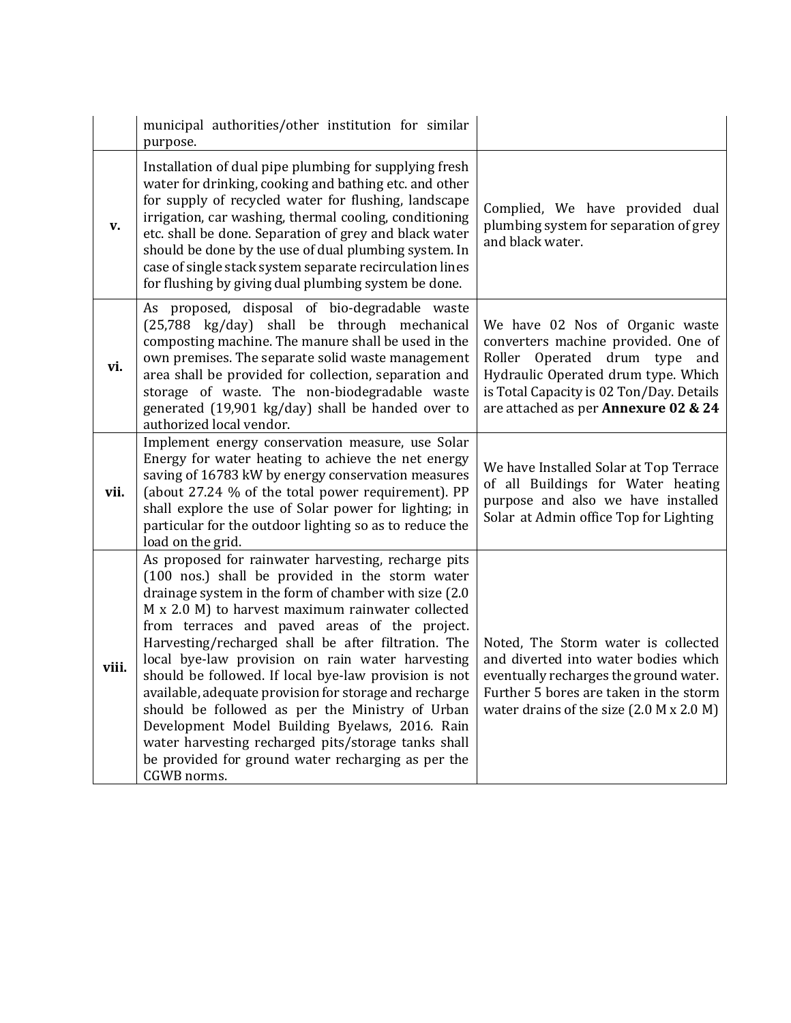|       | municipal authorities/other institution for similar<br>purpose.                                                                                                                                                                                                                                                                                                                                                                                                                                                                                                                                                                                                                                                                      |                                                                                                                                                                                                                                    |
|-------|--------------------------------------------------------------------------------------------------------------------------------------------------------------------------------------------------------------------------------------------------------------------------------------------------------------------------------------------------------------------------------------------------------------------------------------------------------------------------------------------------------------------------------------------------------------------------------------------------------------------------------------------------------------------------------------------------------------------------------------|------------------------------------------------------------------------------------------------------------------------------------------------------------------------------------------------------------------------------------|
| v.    | Installation of dual pipe plumbing for supplying fresh<br>water for drinking, cooking and bathing etc. and other<br>for supply of recycled water for flushing, landscape<br>irrigation, car washing, thermal cooling, conditioning<br>etc. shall be done. Separation of grey and black water<br>should be done by the use of dual plumbing system. In<br>case of single stack system separate recirculation lines<br>for flushing by giving dual plumbing system be done.                                                                                                                                                                                                                                                            | Complied, We have provided dual<br>plumbing system for separation of grey<br>and black water.                                                                                                                                      |
| vi.   | As proposed, disposal of bio-degradable waste<br>(25,788 kg/day) shall be through mechanical<br>composting machine. The manure shall be used in the<br>own premises. The separate solid waste management<br>area shall be provided for collection, separation and<br>storage of waste. The non-biodegradable waste<br>generated (19,901 kg/day) shall be handed over to<br>authorized local vendor.                                                                                                                                                                                                                                                                                                                                  | We have 02 Nos of Organic waste<br>converters machine provided. One of<br>Roller Operated drum type and<br>Hydraulic Operated drum type. Which<br>is Total Capacity is 02 Ton/Day. Details<br>are attached as per Annexure 02 & 24 |
| vii.  | Implement energy conservation measure, use Solar<br>Energy for water heating to achieve the net energy<br>saving of 16783 kW by energy conservation measures<br>(about 27.24 % of the total power requirement). PP<br>shall explore the use of Solar power for lighting; in<br>particular for the outdoor lighting so as to reduce the<br>load on the grid.                                                                                                                                                                                                                                                                                                                                                                          | We have Installed Solar at Top Terrace<br>of all Buildings for Water heating<br>purpose and also we have installed<br>Solar at Admin office Top for Lighting                                                                       |
| viii. | As proposed for rainwater harvesting, recharge pits<br>(100 nos.) shall be provided in the storm water<br>drainage system in the form of chamber with size (2.0<br>M x 2.0 M) to harvest maximum rainwater collected<br>from terraces and paved areas of the project.<br>Harvesting/recharged shall be after filtration. The<br>local bye-law provision on rain water harvesting<br>should be followed. If local bye-law provision is not<br>available, adequate provision for storage and recharge<br>should be followed as per the Ministry of Urban<br>Development Model Building Byelaws, 2016. Rain<br>water harvesting recharged pits/storage tanks shall<br>be provided for ground water recharging as per the<br>CGWB norms. | Noted, The Storm water is collected<br>and diverted into water bodies which<br>eventually recharges the ground water.<br>Further 5 bores are taken in the storm<br>water drains of the size (2.0 M x 2.0 M)                        |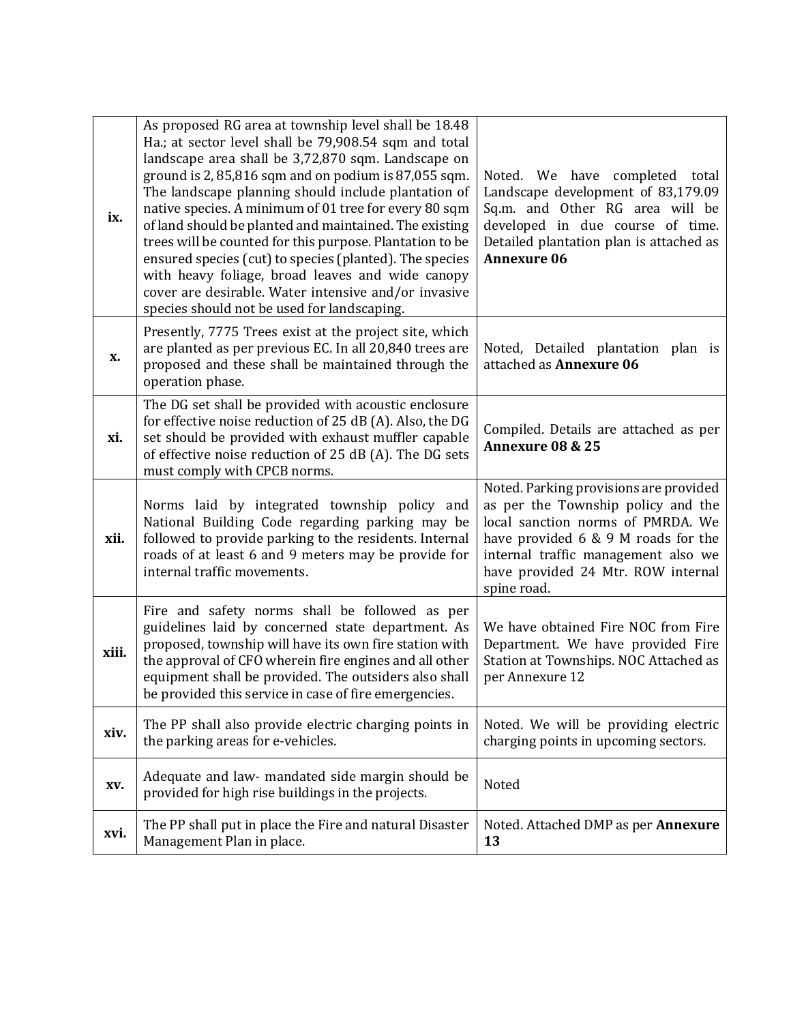| ix.   | As proposed RG area at township level shall be 18.48<br>Ha.; at sector level shall be 79,908.54 sqm and total<br>landscape area shall be 3,72,870 sqm. Landscape on<br>ground is 2, 85,816 sqm and on podium is 87,055 sqm.<br>The landscape planning should include plantation of<br>native species. A minimum of 01 tree for every 80 sqm<br>of land should be planted and maintained. The existing<br>trees will be counted for this purpose. Plantation to be<br>ensured species (cut) to species (planted). The species<br>with heavy foliage, broad leaves and wide canopy<br>cover are desirable. Water intensive and/or invasive<br>species should not be used for landscaping. | Noted. We have completed total<br>Landscape development of 83,179.09<br>Sq.m. and Other RG area will be<br>developed in due course of time.<br>Detailed plantation plan is attached as<br><b>Annexure 06</b>                                         |
|-------|-----------------------------------------------------------------------------------------------------------------------------------------------------------------------------------------------------------------------------------------------------------------------------------------------------------------------------------------------------------------------------------------------------------------------------------------------------------------------------------------------------------------------------------------------------------------------------------------------------------------------------------------------------------------------------------------|------------------------------------------------------------------------------------------------------------------------------------------------------------------------------------------------------------------------------------------------------|
| X.    | Presently, 7775 Trees exist at the project site, which<br>are planted as per previous EC. In all 20,840 trees are<br>proposed and these shall be maintained through the<br>operation phase.                                                                                                                                                                                                                                                                                                                                                                                                                                                                                             | Noted, Detailed plantation plan is<br>attached as Annexure 06                                                                                                                                                                                        |
| xi.   | The DG set shall be provided with acoustic enclosure<br>for effective noise reduction of 25 dB (A). Also, the DG<br>set should be provided with exhaust muffler capable<br>of effective noise reduction of 25 dB (A). The DG sets<br>must comply with CPCB norms.                                                                                                                                                                                                                                                                                                                                                                                                                       | Compiled. Details are attached as per<br>Annexure 08 & 25                                                                                                                                                                                            |
| xii.  | Norms laid by integrated township policy and<br>National Building Code regarding parking may be<br>followed to provide parking to the residents. Internal<br>roads of at least 6 and 9 meters may be provide for<br>internal traffic movements.                                                                                                                                                                                                                                                                                                                                                                                                                                         | Noted. Parking provisions are provided<br>as per the Township policy and the<br>local sanction norms of PMRDA. We<br>have provided 6 & 9 M roads for the<br>internal traffic management also we<br>have provided 24 Mtr. ROW internal<br>spine road. |
| xiii. | Fire and safety norms shall be followed as per<br>guidelines laid by concerned state department. As<br>proposed, township will have its own fire station with<br>the approval of CFO wherein fire engines and all other<br>equipment shall be provided. The outsiders also shall<br>be provided this service in case of fire emergencies.                                                                                                                                                                                                                                                                                                                                               | We have obtained Fire NOC from Fire<br>Department. We have provided Fire<br>Station at Townships. NOC Attached as<br>per Annexure 12                                                                                                                 |
| xiv.  | The PP shall also provide electric charging points in<br>the parking areas for e-vehicles.                                                                                                                                                                                                                                                                                                                                                                                                                                                                                                                                                                                              | Noted. We will be providing electric<br>charging points in upcoming sectors.                                                                                                                                                                         |
| XV.   | Adequate and law- mandated side margin should be<br>provided for high rise buildings in the projects.                                                                                                                                                                                                                                                                                                                                                                                                                                                                                                                                                                                   | Noted                                                                                                                                                                                                                                                |
| xvi.  | The PP shall put in place the Fire and natural Disaster<br>Management Plan in place.                                                                                                                                                                                                                                                                                                                                                                                                                                                                                                                                                                                                    | Noted. Attached DMP as per Annexure<br>13                                                                                                                                                                                                            |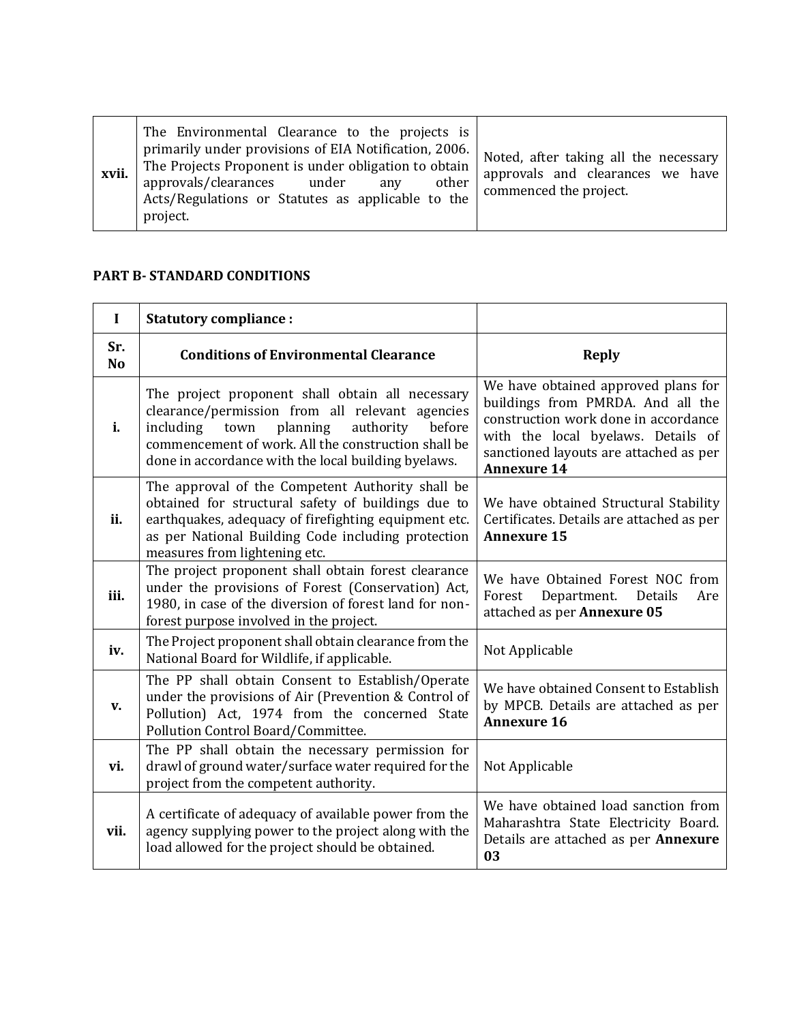| xvii. | The Environmental Clearance to the projects is<br>primarily under provisions of EIA Notification, 2006.<br>The Projects Proponent is under obligation to obtain<br>approvals/clearances under<br>other<br>any<br>Acts/Regulations or Statutes as applicable to the<br>project. | Noted, after taking all the necessary<br>approvals and clearances we have<br>commenced the project. |
|-------|--------------------------------------------------------------------------------------------------------------------------------------------------------------------------------------------------------------------------------------------------------------------------------|-----------------------------------------------------------------------------------------------------|
|-------|--------------------------------------------------------------------------------------------------------------------------------------------------------------------------------------------------------------------------------------------------------------------------------|-----------------------------------------------------------------------------------------------------|

## **PART B- STANDARD CONDITIONS**

| $\mathbf I$           | <b>Statutory compliance:</b>                                                                                                                                                                                                                                              |                                                                                                                                                                                                                        |
|-----------------------|---------------------------------------------------------------------------------------------------------------------------------------------------------------------------------------------------------------------------------------------------------------------------|------------------------------------------------------------------------------------------------------------------------------------------------------------------------------------------------------------------------|
| Sr.<br>N <sub>o</sub> | <b>Conditions of Environmental Clearance</b>                                                                                                                                                                                                                              | <b>Reply</b>                                                                                                                                                                                                           |
| i.                    | The project proponent shall obtain all necessary<br>clearance/permission from all relevant agencies<br>planning<br>including<br>authority<br>before<br>town<br>commencement of work. All the construction shall be<br>done in accordance with the local building byelaws. | We have obtained approved plans for<br>buildings from PMRDA. And all the<br>construction work done in accordance<br>with the local byelaws. Details of<br>sanctioned layouts are attached as per<br><b>Annexure 14</b> |
| ii.                   | The approval of the Competent Authority shall be<br>obtained for structural safety of buildings due to<br>earthquakes, adequacy of firefighting equipment etc.<br>as per National Building Code including protection<br>measures from lightening etc.                     | We have obtained Structural Stability<br>Certificates. Details are attached as per<br><b>Annexure 15</b>                                                                                                               |
| iii.                  | The project proponent shall obtain forest clearance<br>under the provisions of Forest (Conservation) Act,<br>1980, in case of the diversion of forest land for non-<br>forest purpose involved in the project.                                                            | We have Obtained Forest NOC from<br>Department.<br>Details<br>Forest<br>Are<br>attached as per Annexure 05                                                                                                             |
| iv.                   | The Project proponent shall obtain clearance from the<br>National Board for Wildlife, if applicable.                                                                                                                                                                      | Not Applicable                                                                                                                                                                                                         |
| V.                    | The PP shall obtain Consent to Establish/Operate<br>under the provisions of Air (Prevention & Control of<br>Pollution) Act, 1974 from the concerned State<br>Pollution Control Board/Committee.                                                                           | We have obtained Consent to Establish<br>by MPCB. Details are attached as per<br><b>Annexure 16</b>                                                                                                                    |
| vi.                   | The PP shall obtain the necessary permission for<br>drawl of ground water/surface water required for the<br>project from the competent authority.                                                                                                                         | Not Applicable                                                                                                                                                                                                         |
| vii.                  | A certificate of adequacy of available power from the<br>agency supplying power to the project along with the<br>load allowed for the project should be obtained.                                                                                                         | We have obtained load sanction from<br>Maharashtra State Electricity Board.<br>Details are attached as per <b>Annexure</b><br>03                                                                                       |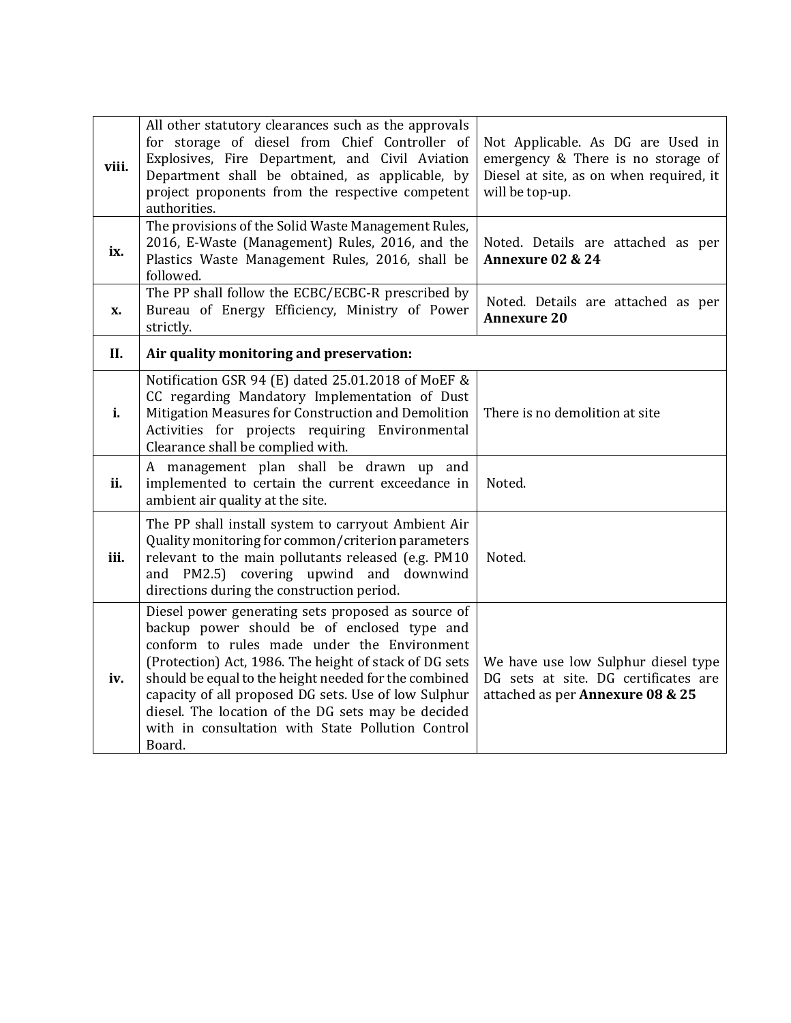| viii. | All other statutory clearances such as the approvals<br>for storage of diesel from Chief Controller of<br>Explosives, Fire Department, and Civil Aviation<br>Department shall be obtained, as applicable, by<br>project proponents from the respective competent<br>authorities.                                                                                                                                                                 | Not Applicable. As DG are Used in<br>emergency & There is no storage of<br>Diesel at site, as on when required, it<br>will be top-up. |
|-------|--------------------------------------------------------------------------------------------------------------------------------------------------------------------------------------------------------------------------------------------------------------------------------------------------------------------------------------------------------------------------------------------------------------------------------------------------|---------------------------------------------------------------------------------------------------------------------------------------|
| ix.   | The provisions of the Solid Waste Management Rules,<br>2016, E-Waste (Management) Rules, 2016, and the<br>Plastics Waste Management Rules, 2016, shall be<br>followed.                                                                                                                                                                                                                                                                           | Noted. Details are attached as per<br>Annexure 02 & 24                                                                                |
| X.    | The PP shall follow the ECBC/ECBC-R prescribed by<br>Bureau of Energy Efficiency, Ministry of Power<br>strictly.                                                                                                                                                                                                                                                                                                                                 | Noted. Details are attached as per<br><b>Annexure 20</b>                                                                              |
| II.   | Air quality monitoring and preservation:                                                                                                                                                                                                                                                                                                                                                                                                         |                                                                                                                                       |
| i.    | Notification GSR 94 (E) dated 25.01.2018 of MoEF &<br>CC regarding Mandatory Implementation of Dust<br>Mitigation Measures for Construction and Demolition<br>Activities for projects requiring Environmental<br>Clearance shall be complied with.                                                                                                                                                                                               | There is no demolition at site                                                                                                        |
| ii.   | A management plan shall be drawn up and<br>implemented to certain the current exceedance in<br>ambient air quality at the site.                                                                                                                                                                                                                                                                                                                  | Noted.                                                                                                                                |
| iii.  | The PP shall install system to carryout Ambient Air<br>Quality monitoring for common/criterion parameters<br>relevant to the main pollutants released (e.g. PM10<br>and PM2.5) covering upwind and downwind<br>directions during the construction period.                                                                                                                                                                                        | Noted.                                                                                                                                |
| iv.   | Diesel power generating sets proposed as source of<br>backup power should be of enclosed type and<br>conform to rules made under the Environment<br>(Protection) Act, 1986. The height of stack of DG sets<br>should be equal to the height needed for the combined<br>capacity of all proposed DG sets. Use of low Sulphur<br>diesel. The location of the DG sets may be decided<br>with in consultation with State Pollution Control<br>Board. | We have use low Sulphur diesel type<br>DG sets at site. DG certificates are<br>attached as per Annexure 08 & 25                       |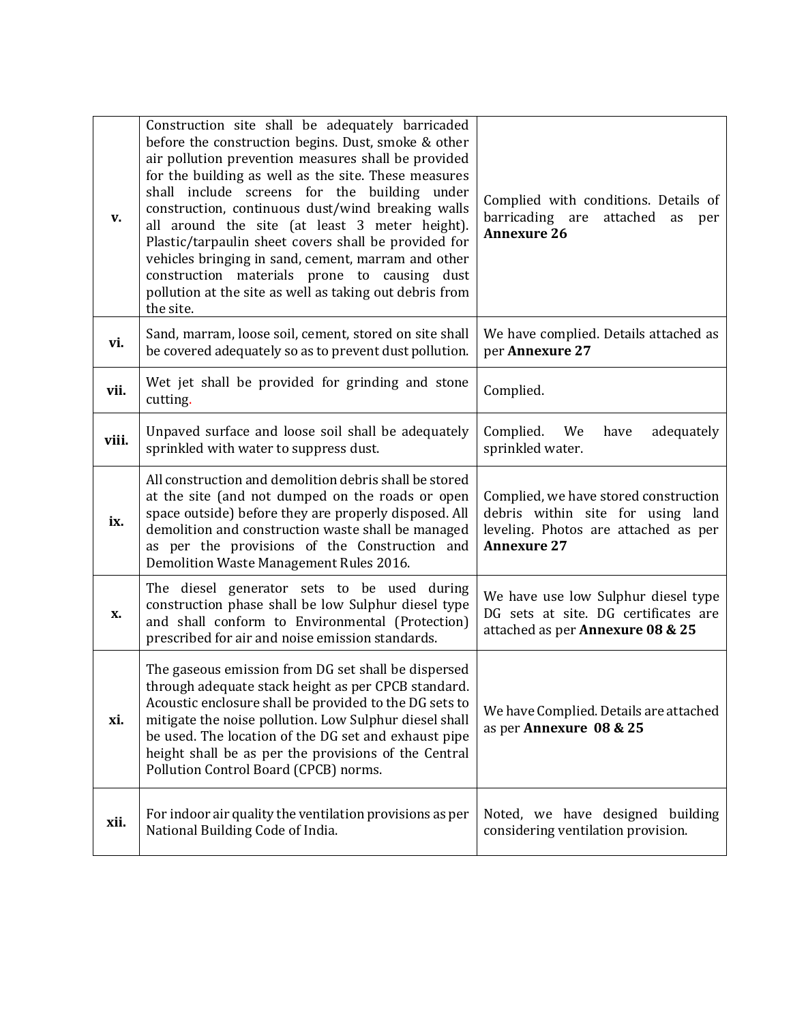| V.    | Construction site shall be adequately barricaded<br>before the construction begins. Dust, smoke & other<br>air pollution prevention measures shall be provided<br>for the building as well as the site. These measures<br>shall include screens for the building under<br>construction, continuous dust/wind breaking walls<br>all around the site (at least 3 meter height).<br>Plastic/tarpaulin sheet covers shall be provided for<br>vehicles bringing in sand, cement, marram and other<br>construction materials prone to causing dust<br>pollution at the site as well as taking out debris from<br>the site. | Complied with conditions. Details of<br>barricading are attached as<br>per<br><b>Annexure 26</b>                                         |
|-------|----------------------------------------------------------------------------------------------------------------------------------------------------------------------------------------------------------------------------------------------------------------------------------------------------------------------------------------------------------------------------------------------------------------------------------------------------------------------------------------------------------------------------------------------------------------------------------------------------------------------|------------------------------------------------------------------------------------------------------------------------------------------|
| vi.   | Sand, marram, loose soil, cement, stored on site shall<br>be covered adequately so as to prevent dust pollution.                                                                                                                                                                                                                                                                                                                                                                                                                                                                                                     | We have complied. Details attached as<br>per Annexure 27                                                                                 |
| vii.  | Wet jet shall be provided for grinding and stone<br>cutting.                                                                                                                                                                                                                                                                                                                                                                                                                                                                                                                                                         | Complied.                                                                                                                                |
| viii. | Unpaved surface and loose soil shall be adequately<br>sprinkled with water to suppress dust.                                                                                                                                                                                                                                                                                                                                                                                                                                                                                                                         | Complied.<br>adequately<br>We<br>have<br>sprinkled water.                                                                                |
| ix.   | All construction and demolition debris shall be stored<br>at the site (and not dumped on the roads or open<br>space outside) before they are properly disposed. All<br>demolition and construction waste shall be managed<br>as per the provisions of the Construction and<br>Demolition Waste Management Rules 2016.                                                                                                                                                                                                                                                                                                | Complied, we have stored construction<br>debris within site for using land<br>leveling. Photos are attached as per<br><b>Annexure 27</b> |
| X.    | The diesel generator sets to be used during<br>construction phase shall be low Sulphur diesel type<br>and shall conform to Environmental (Protection)<br>prescribed for air and noise emission standards.                                                                                                                                                                                                                                                                                                                                                                                                            | We have use low Sulphur diesel type<br>DG sets at site. DG certificates are<br>attached as per Annexure 08 & 25                          |
| xi.   | The gaseous emission from DG set shall be dispersed<br>through adequate stack height as per CPCB standard.<br>Acoustic enclosure shall be provided to the DG sets to<br>mitigate the noise pollution. Low Sulphur diesel shall<br>be used. The location of the DG set and exhaust pipe<br>height shall be as per the provisions of the Central<br>Pollution Control Board (CPCB) norms.                                                                                                                                                                                                                              | We have Complied. Details are attached<br>as per Annexure 08 & 25                                                                        |
| xii.  | For indoor air quality the ventilation provisions as per<br>National Building Code of India.                                                                                                                                                                                                                                                                                                                                                                                                                                                                                                                         | Noted, we have designed building<br>considering ventilation provision.                                                                   |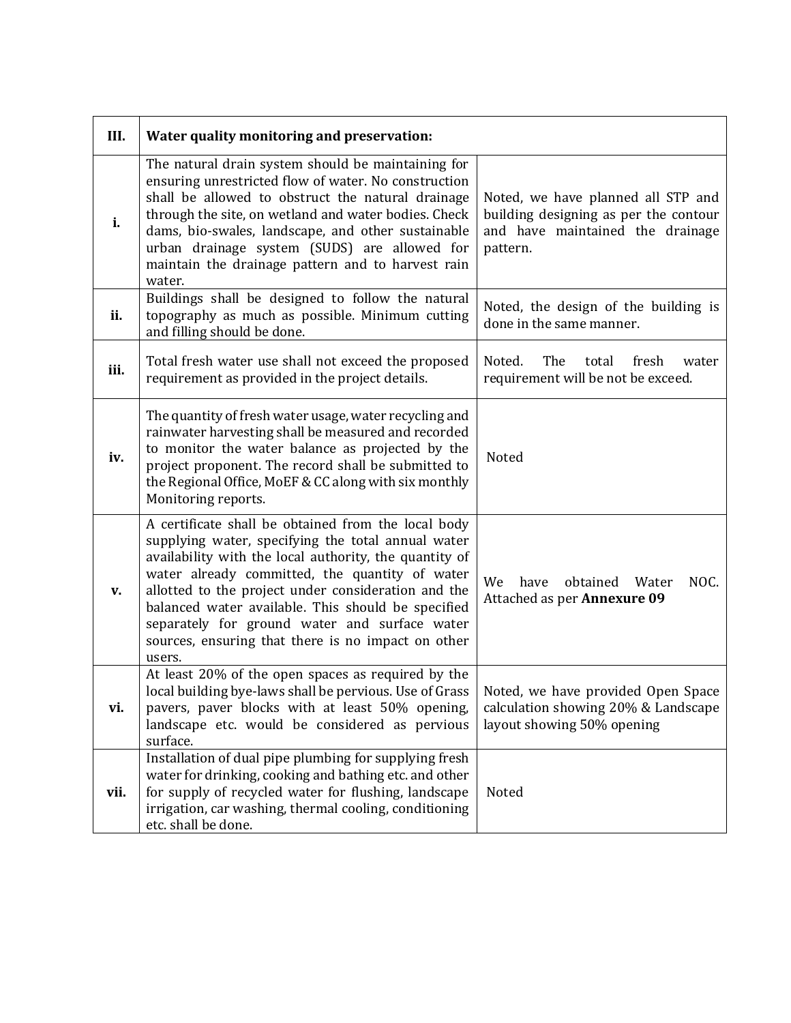| III. | Water quality monitoring and preservation:                                                                                                                                                                                                                                                                                                                                                                                                          |                                                                                                                             |
|------|-----------------------------------------------------------------------------------------------------------------------------------------------------------------------------------------------------------------------------------------------------------------------------------------------------------------------------------------------------------------------------------------------------------------------------------------------------|-----------------------------------------------------------------------------------------------------------------------------|
| i.   | The natural drain system should be maintaining for<br>ensuring unrestricted flow of water. No construction<br>shall be allowed to obstruct the natural drainage<br>through the site, on wetland and water bodies. Check<br>dams, bio-swales, landscape, and other sustainable<br>urban drainage system (SUDS) are allowed for<br>maintain the drainage pattern and to harvest rain<br>water.                                                        | Noted, we have planned all STP and<br>building designing as per the contour<br>and have maintained the drainage<br>pattern. |
| ii.  | Buildings shall be designed to follow the natural<br>topography as much as possible. Minimum cutting<br>and filling should be done.                                                                                                                                                                                                                                                                                                                 | Noted, the design of the building is<br>done in the same manner.                                                            |
| iii. | Total fresh water use shall not exceed the proposed<br>requirement as provided in the project details.                                                                                                                                                                                                                                                                                                                                              | Noted.<br>The<br>total<br>fresh<br>water<br>requirement will be not be exceed.                                              |
| iv.  | The quantity of fresh water usage, water recycling and<br>rainwater harvesting shall be measured and recorded<br>to monitor the water balance as projected by the<br>project proponent. The record shall be submitted to<br>the Regional Office, MoEF & CC along with six monthly<br>Monitoring reports.                                                                                                                                            | Noted                                                                                                                       |
| v.   | A certificate shall be obtained from the local body<br>supplying water, specifying the total annual water<br>availability with the local authority, the quantity of<br>water already committed, the quantity of water<br>allotted to the project under consideration and the<br>balanced water available. This should be specified<br>separately for ground water and surface water<br>sources, ensuring that there is no impact on other<br>users. | NOC.<br>We<br>obtained<br>have<br>Water<br>Attached as per Annexure 09                                                      |
| vi.  | At least 20% of the open spaces as required by the<br>local building bye-laws shall be pervious. Use of Grass<br>pavers, paver blocks with at least 50% opening,<br>landscape etc. would be considered as pervious<br>surface.                                                                                                                                                                                                                      | Noted, we have provided Open Space<br>calculation showing 20% & Landscape<br>layout showing 50% opening                     |
| vii. | Installation of dual pipe plumbing for supplying fresh<br>water for drinking, cooking and bathing etc. and other<br>for supply of recycled water for flushing, landscape<br>irrigation, car washing, thermal cooling, conditioning<br>etc. shall be done.                                                                                                                                                                                           | Noted                                                                                                                       |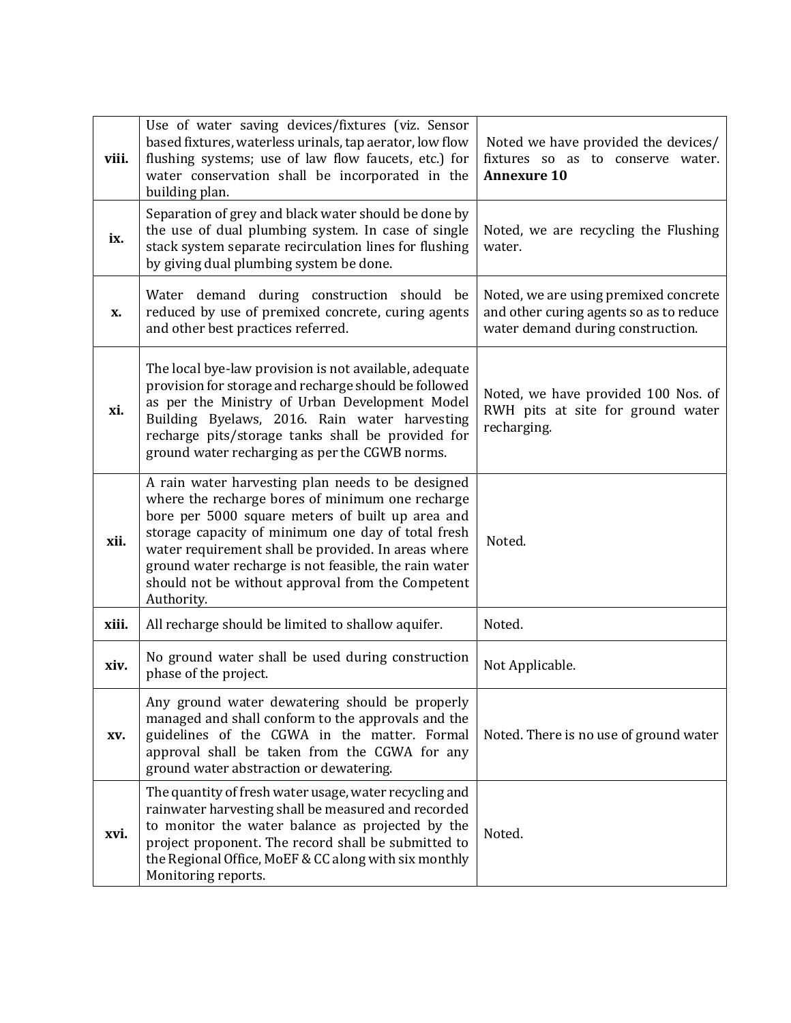| viii. | Use of water saving devices/fixtures (viz. Sensor<br>based fixtures, waterless urinals, tap aerator, low flow<br>flushing systems; use of law flow faucets, etc.) for<br>water conservation shall be incorporated in the<br>building plan.                                                                                                                                                         | Noted we have provided the devices/<br>fixtures so as to conserve water.<br><b>Annexure 10</b>                        |
|-------|----------------------------------------------------------------------------------------------------------------------------------------------------------------------------------------------------------------------------------------------------------------------------------------------------------------------------------------------------------------------------------------------------|-----------------------------------------------------------------------------------------------------------------------|
| ix.   | Separation of grey and black water should be done by<br>the use of dual plumbing system. In case of single<br>stack system separate recirculation lines for flushing<br>by giving dual plumbing system be done.                                                                                                                                                                                    | Noted, we are recycling the Flushing<br>water.                                                                        |
| X.    | Water demand during construction should<br>be<br>reduced by use of premixed concrete, curing agents<br>and other best practices referred.                                                                                                                                                                                                                                                          | Noted, we are using premixed concrete<br>and other curing agents so as to reduce<br>water demand during construction. |
| xi.   | The local bye-law provision is not available, adequate<br>provision for storage and recharge should be followed<br>as per the Ministry of Urban Development Model<br>Building Byelaws, 2016. Rain water harvesting<br>recharge pits/storage tanks shall be provided for<br>ground water recharging as per the CGWB norms.                                                                          | Noted, we have provided 100 Nos. of<br>RWH pits at site for ground water<br>recharging.                               |
| xii.  | A rain water harvesting plan needs to be designed<br>where the recharge bores of minimum one recharge<br>bore per 5000 square meters of built up area and<br>storage capacity of minimum one day of total fresh<br>water requirement shall be provided. In areas where<br>ground water recharge is not feasible, the rain water<br>should not be without approval from the Competent<br>Authority. | Noted.                                                                                                                |
| xiii. | All recharge should be limited to shallow aquifer.                                                                                                                                                                                                                                                                                                                                                 | Noted.                                                                                                                |
| xiv.  | No ground water shall be used during construction<br>phase of the project.                                                                                                                                                                                                                                                                                                                         | Not Applicable.                                                                                                       |
| XV.   | Any ground water dewatering should be properly<br>managed and shall conform to the approvals and the<br>guidelines of the CGWA in the matter. Formal<br>approval shall be taken from the CGWA for any<br>ground water abstraction or dewatering.                                                                                                                                                   | Noted. There is no use of ground water                                                                                |
| xvi.  | The quantity of fresh water usage, water recycling and<br>rainwater harvesting shall be measured and recorded<br>to monitor the water balance as projected by the<br>project proponent. The record shall be submitted to<br>the Regional Office, MoEF & CC along with six monthly<br>Monitoring reports.                                                                                           | Noted.                                                                                                                |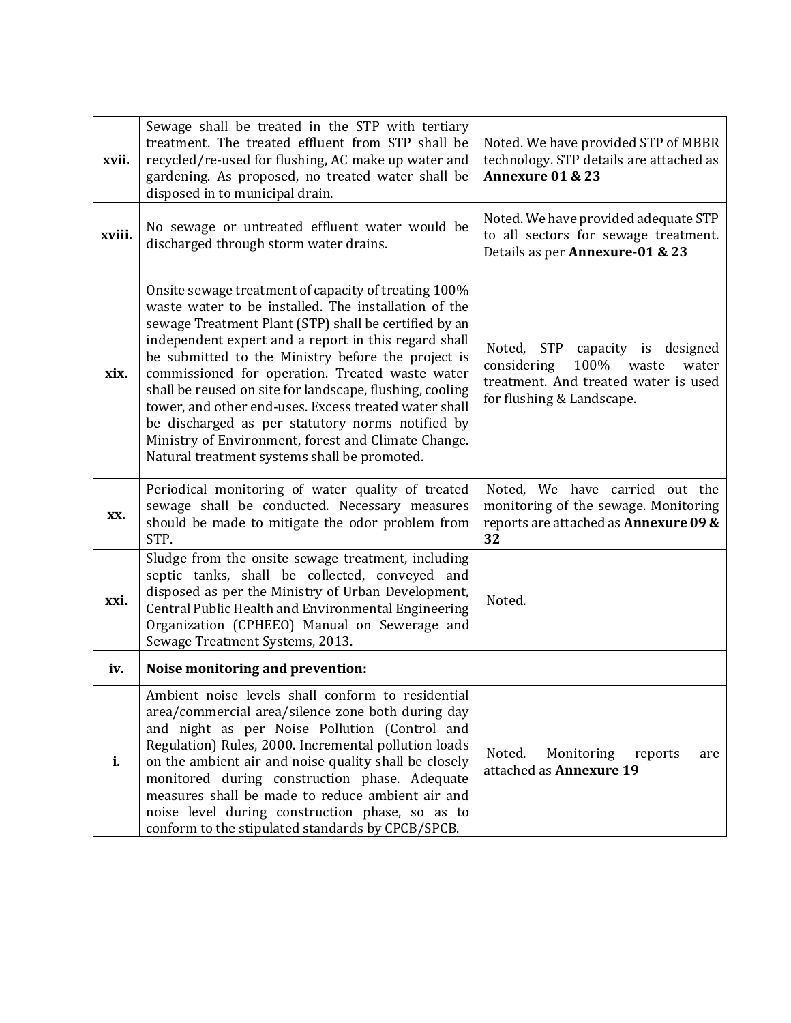| xvii.  | Sewage shall be treated in the STP with tertiary<br>treatment. The treated effluent from STP shall be<br>recycled/re-used for flushing, AC make up water and<br>gardening. As proposed, no treated water shall be<br>disposed in to municipal drain.                                                                                                                                                                                                                                                                                                                                                                   | Noted. We have provided STP of MBBR<br>technology. STP details are attached as<br>Annexure 01 & 23                                            |
|--------|------------------------------------------------------------------------------------------------------------------------------------------------------------------------------------------------------------------------------------------------------------------------------------------------------------------------------------------------------------------------------------------------------------------------------------------------------------------------------------------------------------------------------------------------------------------------------------------------------------------------|-----------------------------------------------------------------------------------------------------------------------------------------------|
| xviii. | No sewage or untreated effluent water would be<br>discharged through storm water drains.                                                                                                                                                                                                                                                                                                                                                                                                                                                                                                                               | Noted. We have provided adequate STP<br>to all sectors for sewage treatment.<br>Details as per Annexure-01 & 23                               |
| xix.   | Onsite sewage treatment of capacity of treating 100%<br>waste water to be installed. The installation of the<br>sewage Treatment Plant (STP) shall be certified by an<br>independent expert and a report in this regard shall<br>be submitted to the Ministry before the project is<br>commissioned for operation. Treated waste water<br>shall be reused on site for landscape, flushing, cooling<br>tower, and other end-uses. Excess treated water shall<br>be discharged as per statutory norms notified by<br>Ministry of Environment, forest and Climate Change.<br>Natural treatment systems shall be promoted. | Noted, STP capacity is designed<br>considering<br>100%<br>waste<br>water<br>treatment. And treated water is used<br>for flushing & Landscape. |
| XX.    | Periodical monitoring of water quality of treated<br>sewage shall be conducted. Necessary measures<br>should be made to mitigate the odor problem from<br>STP.                                                                                                                                                                                                                                                                                                                                                                                                                                                         | Noted, We have carried out the<br>monitoring of the sewage. Monitoring<br>reports are attached as <b>Annexure 09 &amp;</b><br>32              |
| xxi.   | Sludge from the onsite sewage treatment, including<br>septic tanks, shall be collected, conveyed and<br>disposed as per the Ministry of Urban Development,<br>Central Public Health and Environmental Engineering<br>Organization (CPHEEO) Manual on Sewerage and<br>Sewage Treatment Systems, 2013.                                                                                                                                                                                                                                                                                                                   | Noted.                                                                                                                                        |
| iv.    | Noise monitoring and prevention:                                                                                                                                                                                                                                                                                                                                                                                                                                                                                                                                                                                       |                                                                                                                                               |
| i.     | Ambient noise levels shall conform to residential<br>area/commercial area/silence zone both during day<br>and night as per Noise Pollution (Control and<br>Regulation) Rules, 2000. Incremental pollution loads<br>on the ambient air and noise quality shall be closely<br>monitored during construction phase. Adequate<br>measures shall be made to reduce ambient air and<br>noise level during construction phase, so as to<br>conform to the stipulated standards by CPCB/SPCB.                                                                                                                                  | Noted.<br>Monitoring<br>reports<br>are<br>attached as Annexure 19                                                                             |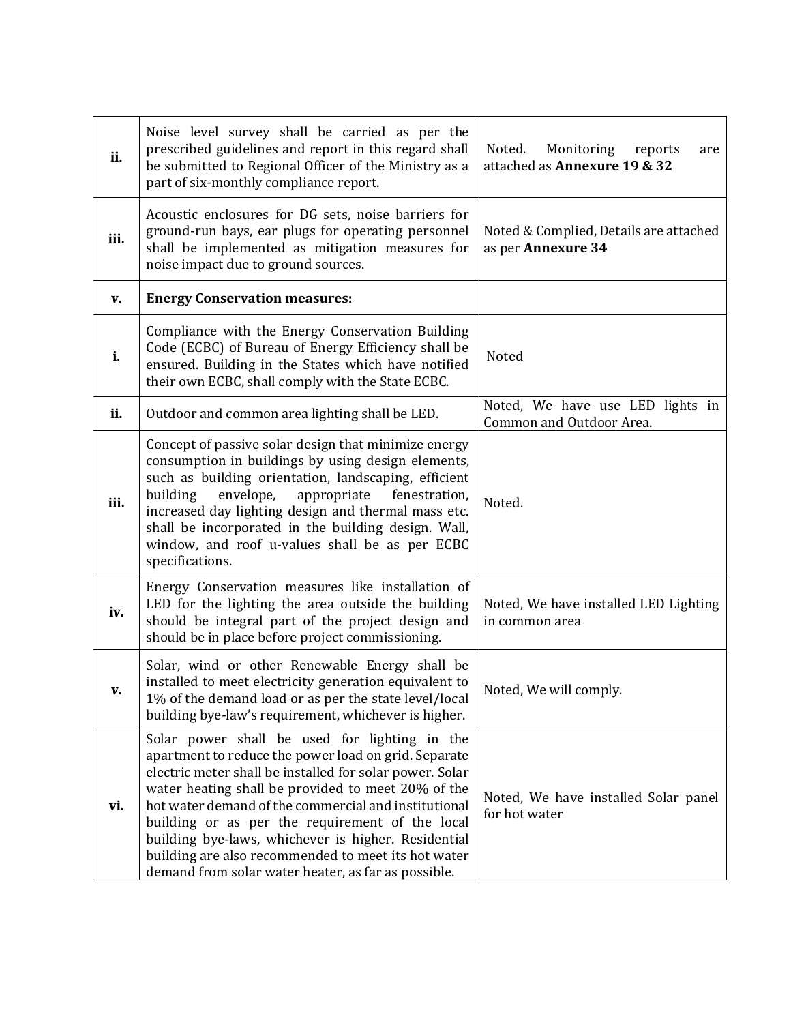| ii.  | Noise level survey shall be carried as per the<br>prescribed guidelines and report in this regard shall<br>be submitted to Regional Officer of the Ministry as a<br>part of six-monthly compliance report.                                                                                                                                                                                                                                                                                              | Noted.<br>Monitoring<br>reports<br>are<br>attached as Annexure 19 & 32 |
|------|---------------------------------------------------------------------------------------------------------------------------------------------------------------------------------------------------------------------------------------------------------------------------------------------------------------------------------------------------------------------------------------------------------------------------------------------------------------------------------------------------------|------------------------------------------------------------------------|
| iii. | Acoustic enclosures for DG sets, noise barriers for<br>ground-run bays, ear plugs for operating personnel<br>shall be implemented as mitigation measures for<br>noise impact due to ground sources.                                                                                                                                                                                                                                                                                                     | Noted & Complied, Details are attached<br>as per Annexure 34           |
| V.   | <b>Energy Conservation measures:</b>                                                                                                                                                                                                                                                                                                                                                                                                                                                                    |                                                                        |
| i.   | Compliance with the Energy Conservation Building<br>Code (ECBC) of Bureau of Energy Efficiency shall be<br>ensured. Building in the States which have notified<br>their own ECBC, shall comply with the State ECBC.                                                                                                                                                                                                                                                                                     | Noted                                                                  |
| ii.  | Outdoor and common area lighting shall be LED.                                                                                                                                                                                                                                                                                                                                                                                                                                                          | Noted, We have use LED lights in<br>Common and Outdoor Area.           |
| iii. | Concept of passive solar design that minimize energy<br>consumption in buildings by using design elements,<br>such as building orientation, landscaping, efficient<br>envelope,<br>building<br>appropriate<br>fenestration,<br>increased day lighting design and thermal mass etc.<br>shall be incorporated in the building design. Wall,<br>window, and roof u-values shall be as per ECBC<br>specifications.                                                                                          | Noted.                                                                 |
| iv.  | Energy Conservation measures like installation of<br>LED for the lighting the area outside the building<br>should be integral part of the project design and<br>should be in place before project commissioning.                                                                                                                                                                                                                                                                                        | Noted, We have installed LED Lighting<br>in common area                |
| v.   | Solar, wind or other Renewable Energy shall be<br>installed to meet electricity generation equivalent to<br>1% of the demand load or as per the state level/local<br>building bye-law's requirement, whichever is higher.                                                                                                                                                                                                                                                                               | Noted, We will comply.                                                 |
| vi.  | Solar power shall be used for lighting in the<br>apartment to reduce the power load on grid. Separate<br>electric meter shall be installed for solar power. Solar<br>water heating shall be provided to meet 20% of the<br>hot water demand of the commercial and institutional<br>building or as per the requirement of the local<br>building bye-laws, whichever is higher. Residential<br>building are also recommended to meet its hot water<br>demand from solar water heater, as far as possible. | Noted, We have installed Solar panel<br>for hot water                  |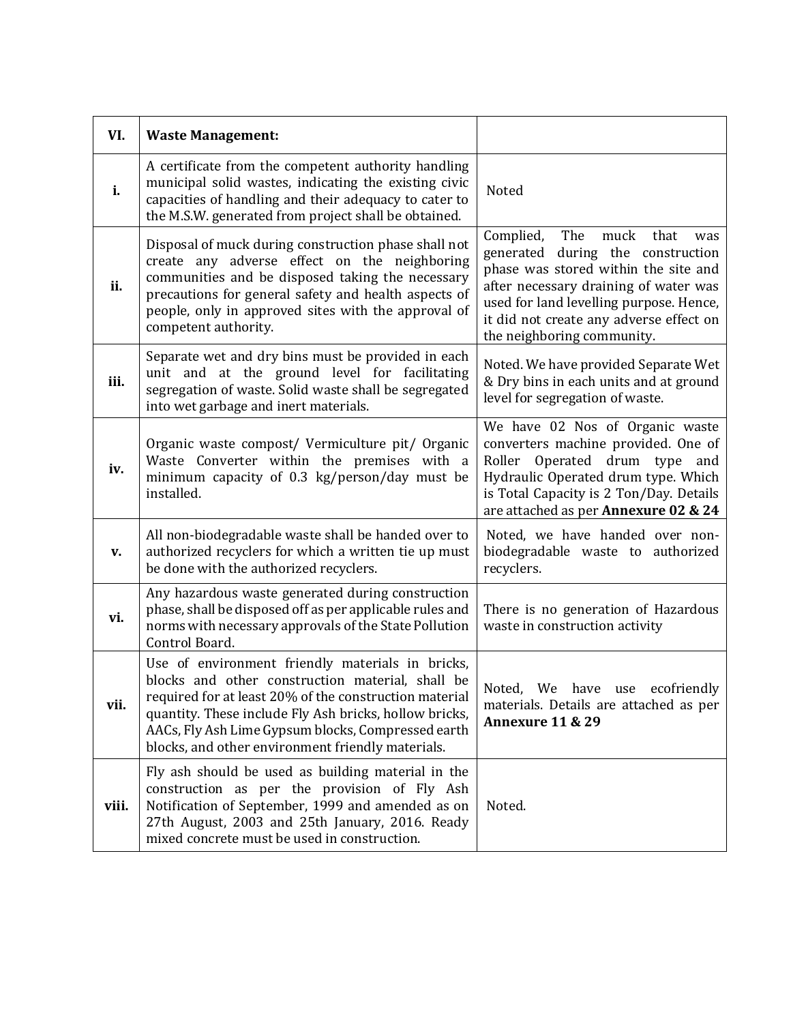| VI.   | <b>Waste Management:</b>                                                                                                                                                                                                                                                                                                            |                                                                                                                                                                                                                                                                                   |
|-------|-------------------------------------------------------------------------------------------------------------------------------------------------------------------------------------------------------------------------------------------------------------------------------------------------------------------------------------|-----------------------------------------------------------------------------------------------------------------------------------------------------------------------------------------------------------------------------------------------------------------------------------|
| i.    | A certificate from the competent authority handling<br>municipal solid wastes, indicating the existing civic<br>capacities of handling and their adequacy to cater to<br>the M.S.W. generated from project shall be obtained.                                                                                                       | Noted                                                                                                                                                                                                                                                                             |
| ii.   | Disposal of muck during construction phase shall not<br>create any adverse effect on the neighboring<br>communities and be disposed taking the necessary<br>precautions for general safety and health aspects of<br>people, only in approved sites with the approval of<br>competent authority.                                     | Complied,<br>The<br>muck<br>that<br>was<br>generated during the construction<br>phase was stored within the site and<br>after necessary draining of water was<br>used for land levelling purpose. Hence,<br>it did not create any adverse effect on<br>the neighboring community. |
| iii.  | Separate wet and dry bins must be provided in each<br>unit and at the ground level for facilitating<br>segregation of waste. Solid waste shall be segregated<br>into wet garbage and inert materials.                                                                                                                               | Noted. We have provided Separate Wet<br>& Dry bins in each units and at ground<br>level for segregation of waste.                                                                                                                                                                 |
| iv.   | Organic waste compost/ Vermiculture pit/ Organic<br>Waste Converter within the premises with a<br>minimum capacity of 0.3 kg/person/day must be<br>installed.                                                                                                                                                                       | We have 02 Nos of Organic waste<br>converters machine provided. One of<br>Operated drum type and<br>Roller<br>Hydraulic Operated drum type. Which<br>is Total Capacity is 2 Ton/Day. Details<br>are attached as per Annexure 02 & 24                                              |
| v.    | All non-biodegradable waste shall be handed over to<br>authorized recyclers for which a written tie up must<br>be done with the authorized recyclers.                                                                                                                                                                               | Noted, we have handed over non-<br>biodegradable waste to authorized<br>recyclers.                                                                                                                                                                                                |
| vi.   | Any hazardous waste generated during construction<br>phase, shall be disposed off as per applicable rules and<br>norms with necessary approvals of the State Pollution<br>Control Board.                                                                                                                                            | There is no generation of Hazardous<br>waste in construction activity                                                                                                                                                                                                             |
| vii.  | Use of environment friendly materials in bricks,<br>blocks and other construction material, shall be<br>required for at least 20% of the construction material<br>quantity. These include Fly Ash bricks, hollow bricks,<br>AACs, Fly Ash Lime Gypsum blocks, Compressed earth<br>blocks, and other environment friendly materials. | ecofriendly<br>We<br>Noted,<br>have<br>use<br>materials. Details are attached as per<br><b>Annexure 11 &amp; 29</b>                                                                                                                                                               |
| viii. | Fly ash should be used as building material in the<br>construction as per the provision of Fly Ash<br>Notification of September, 1999 and amended as on<br>27th August, 2003 and 25th January, 2016. Ready<br>mixed concrete must be used in construction.                                                                          | Noted.                                                                                                                                                                                                                                                                            |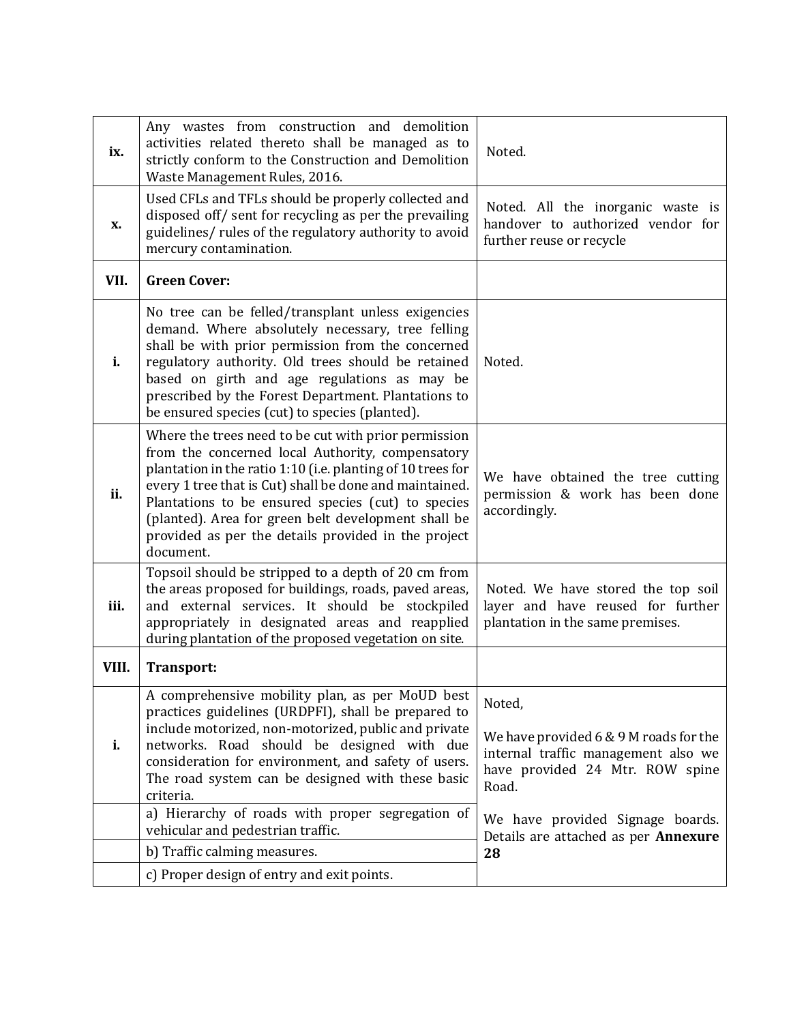| ix.   | Any wastes from construction and demolition<br>activities related thereto shall be managed as to<br>strictly conform to the Construction and Demolition<br>Waste Management Rules, 2016.                                                                                                                                                                                                                            | Noted.                                                                                                                                |
|-------|---------------------------------------------------------------------------------------------------------------------------------------------------------------------------------------------------------------------------------------------------------------------------------------------------------------------------------------------------------------------------------------------------------------------|---------------------------------------------------------------------------------------------------------------------------------------|
| X.    | Used CFLs and TFLs should be properly collected and<br>disposed off/ sent for recycling as per the prevailing<br>guidelines/ rules of the regulatory authority to avoid<br>mercury contamination.                                                                                                                                                                                                                   | Noted. All the inorganic waste is<br>handover to authorized vendor for<br>further reuse or recycle                                    |
| VII.  | <b>Green Cover:</b>                                                                                                                                                                                                                                                                                                                                                                                                 |                                                                                                                                       |
| i.    | No tree can be felled/transplant unless exigencies<br>demand. Where absolutely necessary, tree felling<br>shall be with prior permission from the concerned<br>regulatory authority. Old trees should be retained<br>based on girth and age regulations as may be<br>prescribed by the Forest Department. Plantations to<br>be ensured species (cut) to species (planted).                                          | Noted.                                                                                                                                |
| ii.   | Where the trees need to be cut with prior permission<br>from the concerned local Authority, compensatory<br>plantation in the ratio 1:10 (i.e. planting of 10 trees for<br>every 1 tree that is Cut) shall be done and maintained.<br>Plantations to be ensured species (cut) to species<br>(planted). Area for green belt development shall be<br>provided as per the details provided in the project<br>document. | We have obtained the tree cutting<br>permission & work has been done<br>accordingly.                                                  |
| iii.  | Topsoil should be stripped to a depth of 20 cm from<br>the areas proposed for buildings, roads, paved areas,<br>and external services. It should be stockpiled<br>appropriately in designated areas and reapplied<br>during plantation of the proposed vegetation on site.                                                                                                                                          | Noted. We have stored the top soil<br>layer and have reused for further<br>plantation in the same premises.                           |
| VIII. | Transport:                                                                                                                                                                                                                                                                                                                                                                                                          |                                                                                                                                       |
| i.    | A comprehensive mobility plan, as per MoUD best<br>practices guidelines (URDPFI), shall be prepared to<br>include motorized, non-motorized, public and private<br>networks. Road should be designed with due<br>consideration for environment, and safety of users.<br>The road system can be designed with these basic<br>criteria.                                                                                | Noted,<br>We have provided $6 & 9$ M roads for the<br>internal traffic management also we<br>have provided 24 Mtr. ROW spine<br>Road. |
|       | a) Hierarchy of roads with proper segregation of<br>vehicular and pedestrian traffic.                                                                                                                                                                                                                                                                                                                               | We have provided Signage boards.<br>Details are attached as per Annexure                                                              |
|       | b) Traffic calming measures.                                                                                                                                                                                                                                                                                                                                                                                        | 28                                                                                                                                    |
|       | c) Proper design of entry and exit points.                                                                                                                                                                                                                                                                                                                                                                          |                                                                                                                                       |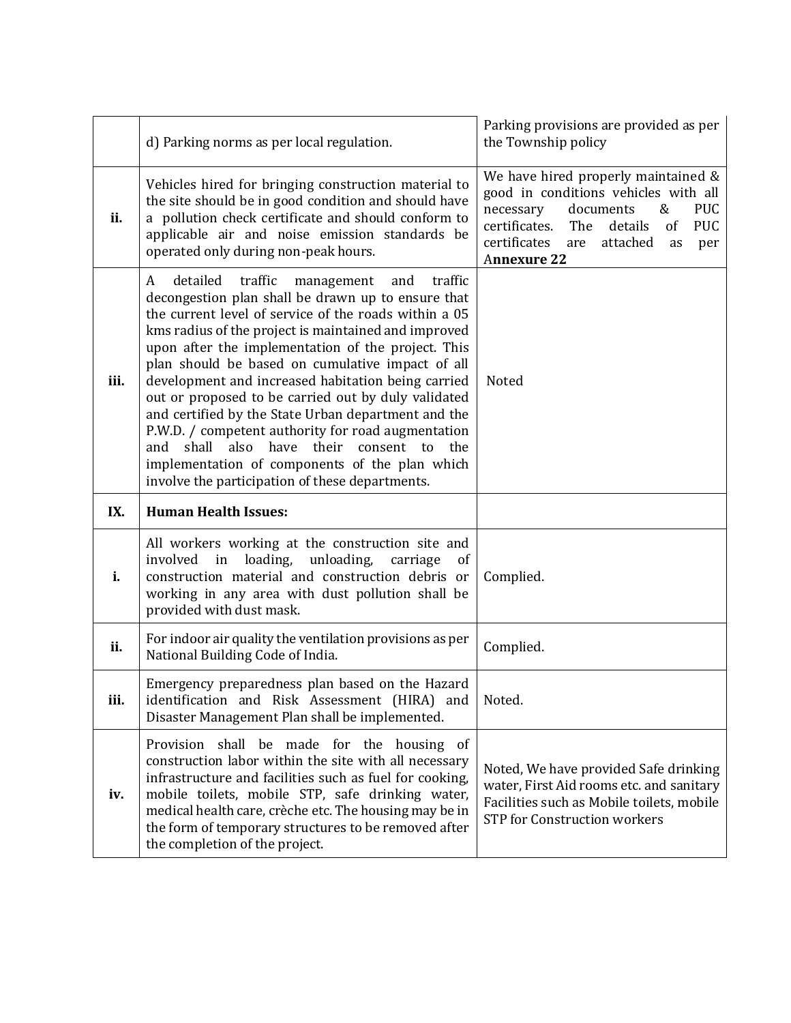|      | d) Parking norms as per local regulation.                                                                                                                                                                                                                                                                                                                                                                                                                                                                                                                                                                                                                                                                                           | Parking provisions are provided as per<br>the Township policy                                                                                                                                                                                         |
|------|-------------------------------------------------------------------------------------------------------------------------------------------------------------------------------------------------------------------------------------------------------------------------------------------------------------------------------------------------------------------------------------------------------------------------------------------------------------------------------------------------------------------------------------------------------------------------------------------------------------------------------------------------------------------------------------------------------------------------------------|-------------------------------------------------------------------------------------------------------------------------------------------------------------------------------------------------------------------------------------------------------|
| ii.  | Vehicles hired for bringing construction material to<br>the site should be in good condition and should have<br>a pollution check certificate and should conform to<br>applicable air and noise emission standards be<br>operated only during non-peak hours.                                                                                                                                                                                                                                                                                                                                                                                                                                                                       | We have hired properly maintained &<br>good in conditions vehicles with all<br>documents<br><b>PUC</b><br>necessary<br>&<br>certificates.<br>details<br><b>PUC</b><br>The<br>of<br>certificates<br>attached<br>are<br>as<br>per<br><b>Annexure 22</b> |
| iii. | detailed<br>traffic<br>management<br>traffic<br>A<br>and<br>decongestion plan shall be drawn up to ensure that<br>the current level of service of the roads within a 05<br>kms radius of the project is maintained and improved<br>upon after the implementation of the project. This<br>plan should be based on cumulative impact of all<br>development and increased habitation being carried<br>out or proposed to be carried out by duly validated<br>and certified by the State Urban department and the<br>P.W.D. / competent authority for road augmentation<br>shall<br>also have<br>their consent<br>and<br>to<br>the<br>implementation of components of the plan which<br>involve the participation of these departments. | Noted                                                                                                                                                                                                                                                 |
| IX.  | <b>Human Health Issues:</b>                                                                                                                                                                                                                                                                                                                                                                                                                                                                                                                                                                                                                                                                                                         |                                                                                                                                                                                                                                                       |
| i.   | All workers working at the construction site and<br>loading, unloading,<br>involved<br>in<br>carriage<br><sub>of</sub><br>construction material and construction debris or<br>working in any area with dust pollution shall be<br>provided with dust mask.                                                                                                                                                                                                                                                                                                                                                                                                                                                                          | Complied.                                                                                                                                                                                                                                             |
| ii.  | For indoor air quality the ventilation provisions as per<br>National Building Code of India.                                                                                                                                                                                                                                                                                                                                                                                                                                                                                                                                                                                                                                        | Complied.                                                                                                                                                                                                                                             |
|      |                                                                                                                                                                                                                                                                                                                                                                                                                                                                                                                                                                                                                                                                                                                                     |                                                                                                                                                                                                                                                       |
| iii. | Emergency preparedness plan based on the Hazard<br>identification and Risk Assessment (HIRA) and<br>Disaster Management Plan shall be implemented.                                                                                                                                                                                                                                                                                                                                                                                                                                                                                                                                                                                  | Noted.                                                                                                                                                                                                                                                |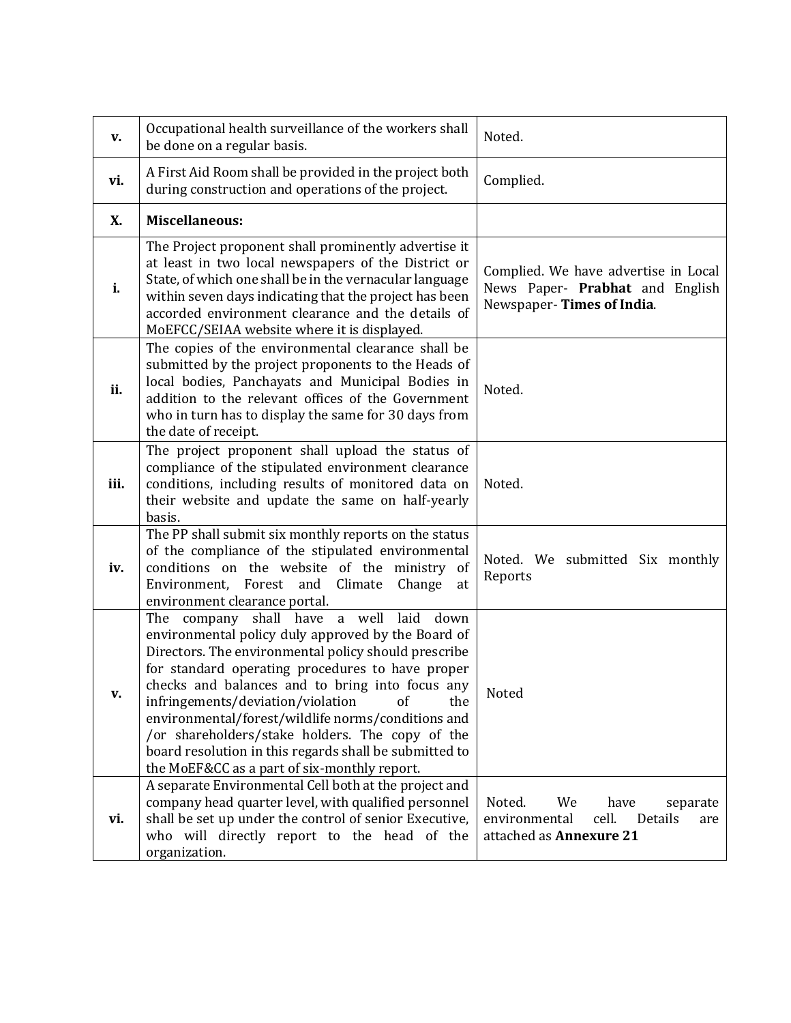| v.   | Occupational health surveillance of the workers shall<br>be done on a regular basis.                                                                                                                                                                                                                                                                                                                                                                                                                                                 | Noted.                                                                                                  |
|------|--------------------------------------------------------------------------------------------------------------------------------------------------------------------------------------------------------------------------------------------------------------------------------------------------------------------------------------------------------------------------------------------------------------------------------------------------------------------------------------------------------------------------------------|---------------------------------------------------------------------------------------------------------|
| vi.  | A First Aid Room shall be provided in the project both<br>during construction and operations of the project.                                                                                                                                                                                                                                                                                                                                                                                                                         | Complied.                                                                                               |
| X.   | <b>Miscellaneous:</b>                                                                                                                                                                                                                                                                                                                                                                                                                                                                                                                |                                                                                                         |
| i.   | The Project proponent shall prominently advertise it<br>at least in two local newspapers of the District or<br>State, of which one shall be in the vernacular language<br>within seven days indicating that the project has been<br>accorded environment clearance and the details of<br>MoEFCC/SEIAA website where it is displayed.                                                                                                                                                                                                 | Complied. We have advertise in Local<br>News Paper- Prabhat and English<br>Newspaper-Times of India.    |
| ii.  | The copies of the environmental clearance shall be<br>submitted by the project proponents to the Heads of<br>local bodies, Panchayats and Municipal Bodies in<br>addition to the relevant offices of the Government<br>who in turn has to display the same for 30 days from<br>the date of receipt.                                                                                                                                                                                                                                  | Noted.                                                                                                  |
| iii. | The project proponent shall upload the status of<br>compliance of the stipulated environment clearance<br>conditions, including results of monitored data on<br>their website and update the same on half-yearly<br>basis.                                                                                                                                                                                                                                                                                                           | Noted.                                                                                                  |
| iv.  | The PP shall submit six monthly reports on the status<br>of the compliance of the stipulated environmental<br>conditions on the website of the ministry of<br>Environment, Forest and<br>Climate<br>Change<br>at<br>environment clearance portal.                                                                                                                                                                                                                                                                                    | Noted. We submitted Six monthly<br>Reports                                                              |
| v.   | The company shall have a well laid<br>down<br>environmental policy duly approved by the Board of<br>Directors. The environmental policy should prescribe<br>for standard operating procedures to have proper<br>checks and balances and to bring into focus any<br>infringements/deviation/violation<br>of<br>the<br>environmental/forest/wildlife norms/conditions and<br>/or shareholders/stake holders. The copy of the<br>board resolution in this regards shall be submitted to<br>the MoEF&CC as a part of six-monthly report. | Noted                                                                                                   |
| vi.  | A separate Environmental Cell both at the project and<br>company head quarter level, with qualified personnel<br>shall be set up under the control of senior Executive,<br>who will directly report to the head of the<br>organization.                                                                                                                                                                                                                                                                                              | Noted.<br>We<br>have<br>separate<br>cell.<br>environmental<br>Details<br>are<br>attached as Annexure 21 |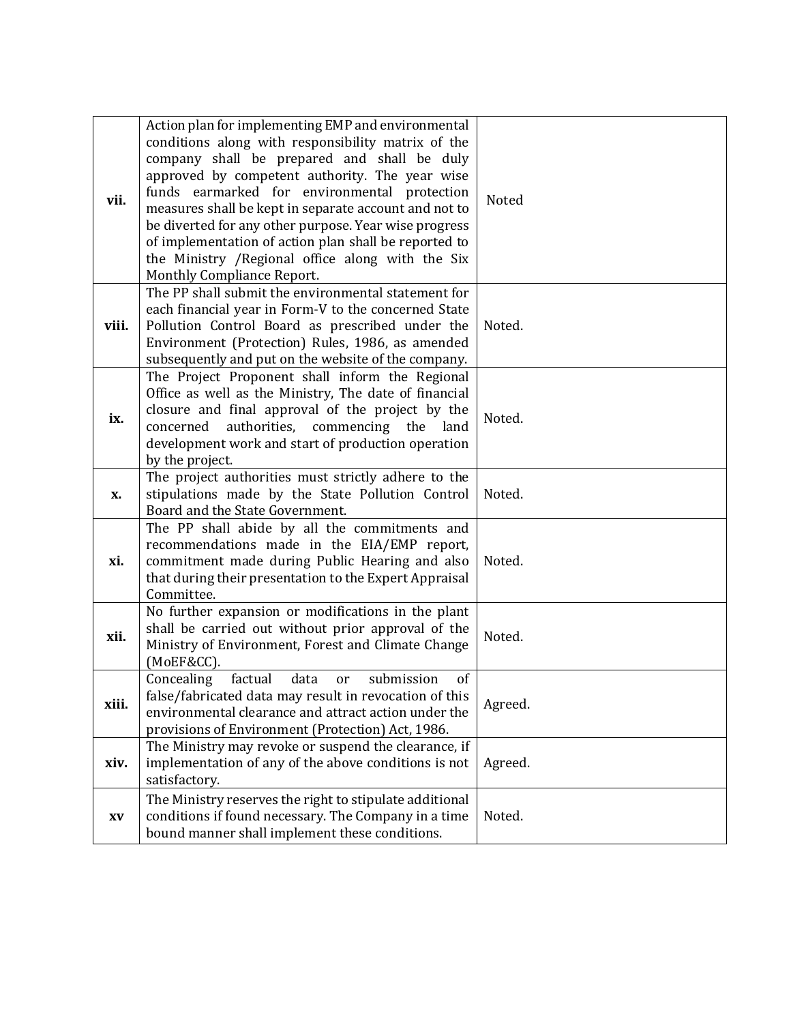| vii.  | Action plan for implementing EMP and environmental<br>conditions along with responsibility matrix of the<br>company shall be prepared and shall be duly<br>approved by competent authority. The year wise<br>funds earmarked for environmental protection<br>measures shall be kept in separate account and not to<br>be diverted for any other purpose. Year wise progress<br>of implementation of action plan shall be reported to<br>the Ministry / Regional office along with the Six<br>Monthly Compliance Report. | <b>Noted</b> |
|-------|-------------------------------------------------------------------------------------------------------------------------------------------------------------------------------------------------------------------------------------------------------------------------------------------------------------------------------------------------------------------------------------------------------------------------------------------------------------------------------------------------------------------------|--------------|
| viii. | The PP shall submit the environmental statement for<br>each financial year in Form-V to the concerned State<br>Pollution Control Board as prescribed under the<br>Environment (Protection) Rules, 1986, as amended<br>subsequently and put on the website of the company.                                                                                                                                                                                                                                               | Noted.       |
| ix.   | The Project Proponent shall inform the Regional<br>Office as well as the Ministry, The date of financial<br>closure and final approval of the project by the<br>concerned<br>authorities, commencing the<br>land<br>development work and start of production operation<br>by the project.                                                                                                                                                                                                                               | Noted.       |
| X.    | The project authorities must strictly adhere to the<br>stipulations made by the State Pollution Control<br>Board and the State Government.                                                                                                                                                                                                                                                                                                                                                                              | Noted.       |
| xi.   | The PP shall abide by all the commitments and<br>recommendations made in the EIA/EMP report,<br>commitment made during Public Hearing and also<br>that during their presentation to the Expert Appraisal<br>Committee.                                                                                                                                                                                                                                                                                                  | Noted.       |
| xii.  | No further expansion or modifications in the plant<br>shall be carried out without prior approval of the<br>Ministry of Environment, Forest and Climate Change<br>(MoEF&CC).                                                                                                                                                                                                                                                                                                                                            | Noted.       |
| xiii. | Concealing<br>factual<br>data<br>submission<br>of<br><sub>or</sub><br>false/fabricated data may result in revocation of this<br>environmental clearance and attract action under the<br>provisions of Environment (Protection) Act, 1986.                                                                                                                                                                                                                                                                               | Agreed.      |
| xiv.  | The Ministry may revoke or suspend the clearance, if<br>implementation of any of the above conditions is not<br>satisfactory.                                                                                                                                                                                                                                                                                                                                                                                           | Agreed.      |
| XV    | The Ministry reserves the right to stipulate additional<br>conditions if found necessary. The Company in a time<br>bound manner shall implement these conditions.                                                                                                                                                                                                                                                                                                                                                       | Noted.       |